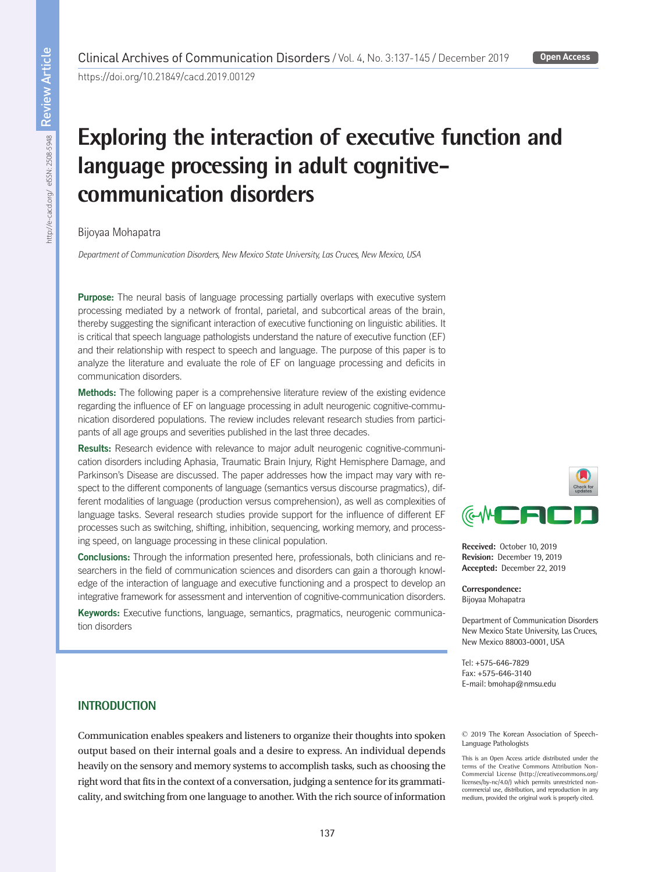https://doi.org/10.21849/cacd.2019.00129

# **Exploring the interaction of executive function and language processing in adult cognitivecommunication disorders**

Bijoyaa Mohapatra

*Department of Communication Disorders, New Mexico State University, Las Cruces, New Mexico, USA*

Purpose: The neural basis of language processing partially overlaps with executive system processing mediated by a network of frontal, parietal, and subcortical areas of the brain, thereby suggesting the significant interaction of executive functioning on linguistic abilities. It is critical that speech language pathologists understand the nature of executive function (EF) and their relationship with respect to speech and language. The purpose of this paper is to analyze the literature and evaluate the role of EF on language processing and deficits in communication disorders.

Methods: The following paper is a comprehensive literature review of the existing evidence regarding the influence of EF on language processing in adult neurogenic cognitive-communication disordered populations. The review includes relevant research studies from participants of all age groups and severities published in the last three decades.

Results: Research evidence with relevance to major adult neurogenic cognitive-communication disorders including Aphasia, Traumatic Brain Injury, Right Hemisphere Damage, and Parkinson's Disease are discussed. The paper addresses how the impact may vary with respect to the different components of language (semantics versus discourse pragmatics), different modalities of language (production versus comprehension), as well as complexities of language tasks. Several research studies provide support for the influence of different EF processes such as switching, shifting, inhibition, sequencing, working memory, and processing speed, on language processing in these clinical population.

Conclusions: Through the information presented here, professionals, both clinicians and researchers in the field of communication sciences and disorders can gain a thorough knowledge of the interaction of language and executive functioning and a prospect to develop an integrative framework for assessment and intervention of cognitive-communication disorders.

Keywords: Executive functions, language, semantics, pragmatics, neurogenic communication disorders



**Received:** October 10, 2019 **Revision:** December 19, 2019 **Accepted:** December 22, 2019

**Correspondence:** Bijoyaa Mohapatra

Department of Communication Disorders New Mexico State University, Las Cruces, New Mexico 88003-0001, USA

Tel: +575-646-7829 Fax: +575-646-3140 E-mail: bmohap@nmsu.edu

# **INTRODUCTION**

Communication enables speakers and listeners to organize their thoughts into spoken output based on their internal goals and a desire to express. An individual depends heavily on the sensory and memory systems to accomplish tasks, such as choosing the right word that fits in the context of a conversation, judging a sentence for its grammaticality, and switching from one language to another. With the rich source of information © 2019 The Korean Association of Speech-Language Pathologists

This is an Open Access article distributed under the terms of the Creative Commons Attribution Non-Commercial License (http://creativecommons.org/ licenses/by-nc/4.0/) which permits unrestricted noncommercial use, distribution, and reproduction in any medium, provided the original work is properly cited.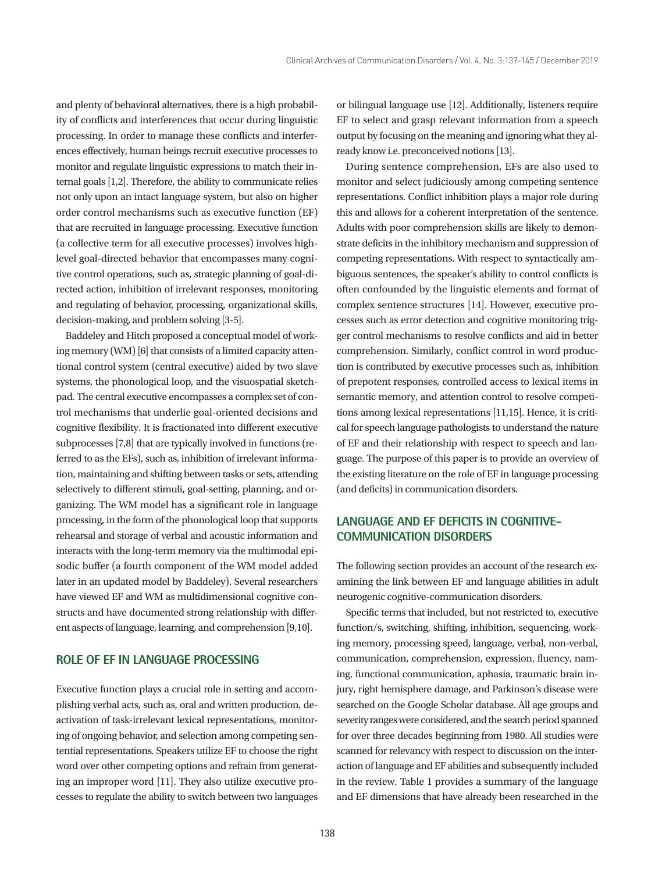and plenty of behavioral alternatives, there is a high probability of conflicts and interferences that occur during linguistic processing. In order to manage these conflicts and interferences effectively, human beings recruit executive processes to monitor and regulate linguistic expressions to match their internal goals [1,2]. Therefore, the ability to communicate relies not only upon an intact language system, but also on higher order control mechanisms such as executive function (EF) that are recruited in language processing. Executive function (a collective term for all executive processes) involves highlevel goal-directed behavior that encompasses many cognitive control operations, such as, strategic planning of goal-directed action, inhibition of irrelevant responses, monitoring and regulating of behavior, processing, organizational skills, decision-making, and problem solving [3-5].

Baddeley and Hitch proposed a conceptual model of working memory (WM) [6] that consists of a limited capacity attentional control system (central executive) aided by two slave systems, the phonological loop, and the visuospatial sketchpad. The central executive encompasses a complex set of control mechanisms that underlie goal-oriented decisions and cognitive flexibility. It is fractionated into different executive subprocesses [7,8] that are typically involved in functions (referred to as the EFs), such as, inhibition of irrelevant information, maintaining and shifting between tasks or sets, attending selectively to different stimuli, goal-setting, planning, and organizing. The WM model has a significant role in language processing, in the form of the phonological loop that supports rehearsal and storage of verbal and acoustic information and interacts with the long-term memory via the multimodal episodic buffer (a fourth component of the WM model added later in an updated model by Baddeley). Several researchers have viewed EF and WM as multidimensional cognitive constructs and have documented strong relationship with different aspects of language, learning, and comprehension [9,10].

# **ROLE OF EF IN LANGUAGE PROCESSING**

Executive function plays a crucial role in setting and accomplishing verbal acts, such as, oral and written production, deactivation of task-irrelevant lexical representations, monitoring of ongoing behavior, and selection among competing sentential representations. Speakers utilize EF to choose the right word over other competing options and refrain from generating an improper word [11]. They also utilize executive processes to regulate the ability to switch between two languages or bilingual language use [12]. Additionally, listeners require EF to select and grasp relevant information from a speech output by focusing on the meaning and ignoring what they already know i.e. preconceived notions [13].

During sentence comprehension, EFs are also used to monitor and select judiciously among competing sentence representations. Conflict inhibition plays a major role during this and allows for a coherent interpretation of the sentence. Adults with poor comprehension skills are likely to demonstrate deficits in the inhibitory mechanism and suppression of competing representations. With respect to syntactically ambiguous sentences, the speaker's ability to control conflicts is often confounded by the linguistic elements and format of complex sentence structures [14]. However, executive processes such as error detection and cognitive monitoring trigger control mechanisms to resolve conflicts and aid in better comprehension. Similarly, conflict control in word production is contributed by executive processes such as, inhibition of prepotent responses, controlled access to lexical items in semantic memory, and attention control to resolve competitions among lexical representations [11,15]. Hence, it is critical for speech language pathologists to understand the nature of EF and their relationship with respect to speech and language. The purpose of this paper is to provide an overview of the existing literature on the role of EF in language processing (and deficits) in communication disorders.

# **LANGUAGE AND EF DEFICITS IN COGNITIVE-COMMUNICATION DISORDERS**

The following section provides an account of the research examining the link between EF and language abilities in adult neurogenic cognitive-communication disorders.

Specific terms that included, but not restricted to, executive function/s, switching, shifting, inhibition, sequencing, working memory, processing speed, language, verbal, non-verbal, communication, comprehension, expression, fluency, naming, functional communication, aphasia, traumatic brain injury, right hemisphere damage, and Parkinson's disease were searched on the Google Scholar database. All age groups and severity ranges were considered, and the search period spanned for over three decades beginning from 1980. All studies were scanned for relevancy with respect to discussion on the interaction of language and EF abilities and subsequently included in the review. Table 1 provides a summary of the language and EF dimensions that have already been researched in the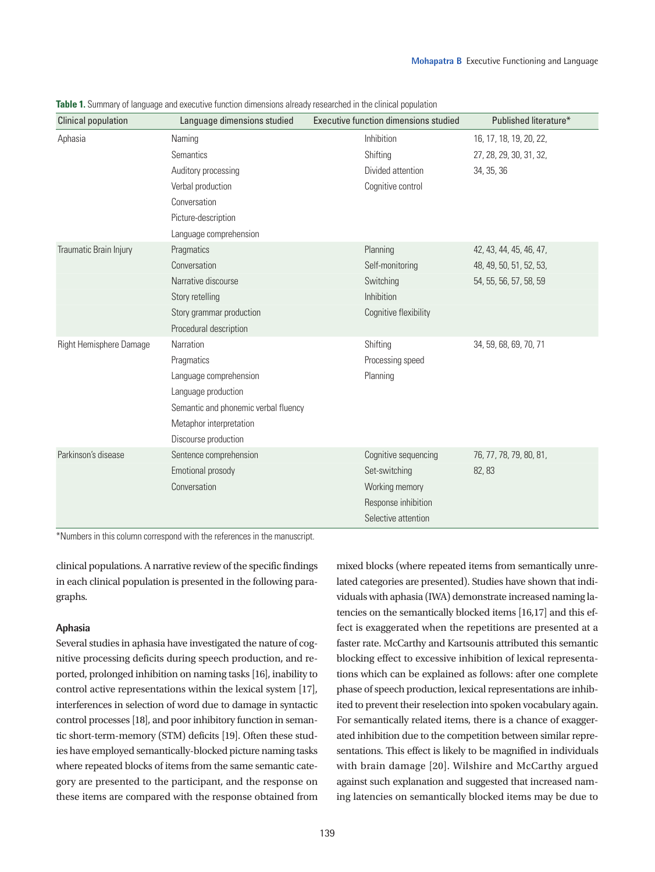| <b>Clinical population</b> | Language dimensions studied          | Executive function dimensions studied | Published literature*   |
|----------------------------|--------------------------------------|---------------------------------------|-------------------------|
| Aphasia                    | Naming                               | Inhibition                            | 16, 17, 18, 19, 20, 22, |
|                            | Semantics                            | Shifting                              | 27, 28, 29, 30, 31, 32, |
|                            | Auditory processing                  | Divided attention                     | 34, 35, 36              |
|                            | Verbal production                    | Cognitive control                     |                         |
|                            | Conversation                         |                                       |                         |
|                            | Picture-description                  |                                       |                         |
|                            | Language comprehension               |                                       |                         |
| Traumatic Brain Injury     | Pragmatics                           | Planning                              | 42, 43, 44, 45, 46, 47, |
|                            | Conversation                         | Self-monitoring                       | 48, 49, 50, 51, 52, 53, |
|                            | Narrative discourse                  | Switching                             | 54, 55, 56, 57, 58, 59  |
|                            | Story retelling                      | Inhibition                            |                         |
|                            | Story grammar production             | Cognitive flexibility                 |                         |
|                            | Procedural description               |                                       |                         |
| Right Hemisphere Damage    | Narration                            | Shifting                              | 34, 59, 68, 69, 70, 71  |
|                            | Pragmatics                           | Processing speed                      |                         |
|                            | Language comprehension               | Planning                              |                         |
|                            | Language production                  |                                       |                         |
|                            | Semantic and phonemic verbal fluency |                                       |                         |
|                            | Metaphor interpretation              |                                       |                         |
|                            | Discourse production                 |                                       |                         |
| Parkinson's disease        | Sentence comprehension               | Cognitive sequencing                  | 76, 77, 78, 79, 80, 81, |
|                            | Emotional prosody                    | Set-switching                         | 82, 83                  |
|                            | Conversation                         | Working memory                        |                         |
|                            |                                      | Response inhibition                   |                         |
|                            |                                      | Selective attention                   |                         |

**Table 1.** Summary of language and executive function dimensions already researched in the clinical population

\*Numbers in this column correspond with the references in the manuscript.

clinical populations. A narrative review of the specific findings in each clinical population is presented in the following paragraphs.

#### **Aphasia**

Several studies in aphasia have investigated the nature of cognitive processing deficits during speech production, and reported, prolonged inhibition on naming tasks [16], inability to control active representations within the lexical system [17], interferences in selection of word due to damage in syntactic control processes [18], and poor inhibitory function in semantic short-term-memory (STM) deficits [19]. Often these studies have employed semantically-blocked picture naming tasks where repeated blocks of items from the same semantic category are presented to the participant, and the response on these items are compared with the response obtained from mixed blocks (where repeated items from semantically unrelated categories are presented). Studies have shown that individuals with aphasia (IWA) demonstrate increased naming latencies on the semantically blocked items [16,17] and this effect is exaggerated when the repetitions are presented at a faster rate. McCarthy and Kartsounis attributed this semantic blocking effect to excessive inhibition of lexical representations which can be explained as follows: after one complete phase of speech production, lexical representations are inhibited to prevent their reselection into spoken vocabulary again. For semantically related items, there is a chance of exaggerated inhibition due to the competition between similar representations. This effect is likely to be magnified in individuals with brain damage [20]. Wilshire and McCarthy argued against such explanation and suggested that increased naming latencies on semantically blocked items may be due to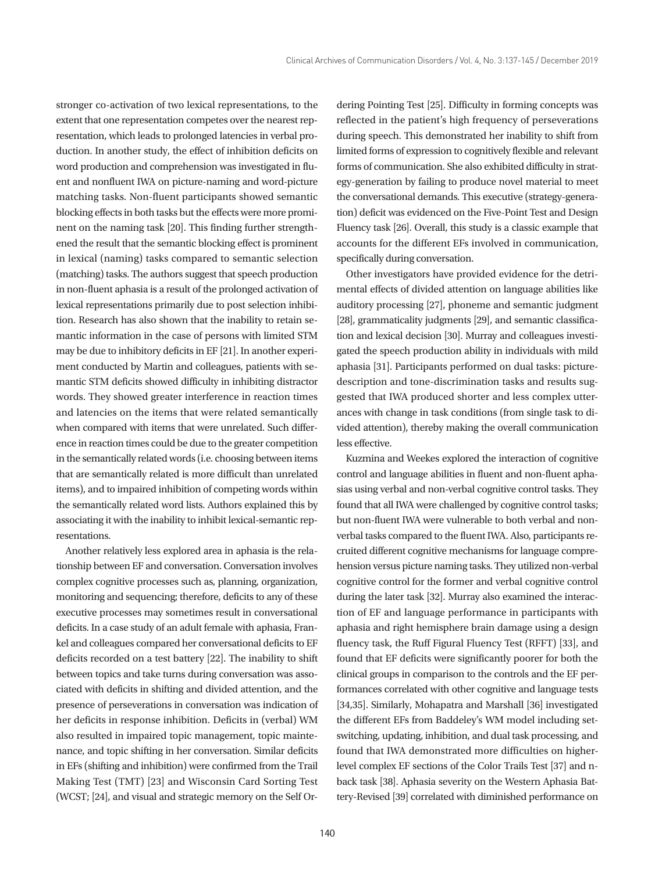stronger co-activation of two lexical representations, to the extent that one representation competes over the nearest representation, which leads to prolonged latencies in verbal production. In another study, the effect of inhibition deficits on word production and comprehension was investigated in fluent and nonfluent IWA on picture-naming and word-picture matching tasks. Non-fluent participants showed semantic blocking effects in both tasks but the effects were more prominent on the naming task [20]. This finding further strengthened the result that the semantic blocking effect is prominent in lexical (naming) tasks compared to semantic selection (matching) tasks. The authors suggest that speech production in non-fluent aphasia is a result of the prolonged activation of lexical representations primarily due to post selection inhibition. Research has also shown that the inability to retain semantic information in the case of persons with limited STM may be due to inhibitory deficits in EF [21]. In another experiment conducted by Martin and colleagues, patients with semantic STM deficits showed difficulty in inhibiting distractor words. They showed greater interference in reaction times and latencies on the items that were related semantically when compared with items that were unrelated. Such difference in reaction times could be due to the greater competition in the semantically related words (i.e. choosing between items that are semantically related is more difficult than unrelated items), and to impaired inhibition of competing words within the semantically related word lists. Authors explained this by associating it with the inability to inhibit lexical-semantic representations.

Another relatively less explored area in aphasia is the relationship between EF and conversation. Conversation involves complex cognitive processes such as, planning, organization, monitoring and sequencing; therefore, deficits to any of these executive processes may sometimes result in conversational deficits. In a case study of an adult female with aphasia, Frankel and colleagues compared her conversational deficits to EF deficits recorded on a test battery [22]. The inability to shift between topics and take turns during conversation was associated with deficits in shifting and divided attention, and the presence of perseverations in conversation was indication of her deficits in response inhibition. Deficits in (verbal) WM also resulted in impaired topic management, topic maintenance, and topic shifting in her conversation. Similar deficits in EFs (shifting and inhibition) were confirmed from the Trail Making Test (TMT) [23] and Wisconsin Card Sorting Test (WCST; [24], and visual and strategic memory on the Self Ordering Pointing Test [25]. Difficulty in forming concepts was reflected in the patient's high frequency of perseverations during speech. This demonstrated her inability to shift from limited forms of expression to cognitively flexible and relevant forms of communication. She also exhibited difficulty in strategy-generation by failing to produce novel material to meet the conversational demands. This executive (strategy-generation) deficit was evidenced on the Five-Point Test and Design Fluency task [26]. Overall, this study is a classic example that accounts for the different EFs involved in communication, specifically during conversation.

Other investigators have provided evidence for the detrimental effects of divided attention on language abilities like auditory processing [27], phoneme and semantic judgment [28], grammaticality judgments [29], and semantic classification and lexical decision [30]. Murray and colleagues investigated the speech production ability in individuals with mild aphasia [31]. Participants performed on dual tasks: picturedescription and tone-discrimination tasks and results suggested that IWA produced shorter and less complex utterances with change in task conditions (from single task to divided attention), thereby making the overall communication less effective.

Kuzmina and Weekes explored the interaction of cognitive control and language abilities in fluent and non-fluent aphasias using verbal and non-verbal cognitive control tasks. They found that all IWA were challenged by cognitive control tasks; but non-fluent IWA were vulnerable to both verbal and nonverbal tasks compared to the fluent IWA. Also, participants recruited different cognitive mechanisms for language comprehension versus picture naming tasks. They utilized non-verbal cognitive control for the former and verbal cognitive control during the later task [32]. Murray also examined the interaction of EF and language performance in participants with aphasia and right hemisphere brain damage using a design fluency task, the Ruff Figural Fluency Test (RFFT) [33], and found that EF deficits were significantly poorer for both the clinical groups in comparison to the controls and the EF performances correlated with other cognitive and language tests [34,35]. Similarly, Mohapatra and Marshall [36] investigated the different EFs from Baddeley's WM model including setswitching, updating, inhibition, and dual task processing, and found that IWA demonstrated more difficulties on higherlevel complex EF sections of the Color Trails Test [37] and nback task [38]. Aphasia severity on the Western Aphasia Battery-Revised [39] correlated with diminished performance on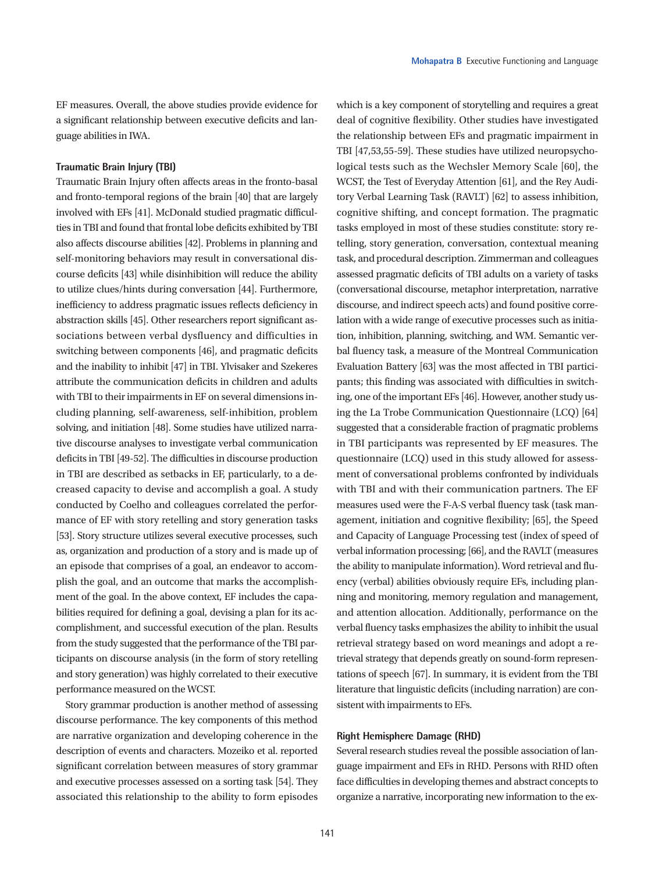EF measures. Overall, the above studies provide evidence for a significant relationship between executive deficits and language abilities in IWA.

#### **Traumatic Brain Injury (TBI)**

Traumatic Brain Injury often affects areas in the fronto-basal and fronto-temporal regions of the brain [40] that are largely involved with EFs [41]. McDonald studied pragmatic difficulties in TBI and found that frontal lobe deficits exhibited by TBI also affects discourse abilities [42]. Problems in planning and self-monitoring behaviors may result in conversational discourse deficits [43] while disinhibition will reduce the ability to utilize clues/hints during conversation [44]. Furthermore, inefficiency to address pragmatic issues reflects deficiency in abstraction skills [45]. Other researchers report significant associations between verbal dysfluency and difficulties in switching between components [46], and pragmatic deficits and the inability to inhibit [47] in TBI. Ylvisaker and Szekeres attribute the communication deficits in children and adults with TBI to their impairments in EF on several dimensions including planning, self-awareness, self-inhibition, problem solving, and initiation [48]. Some studies have utilized narrative discourse analyses to investigate verbal communication deficits in TBI [49-52]. The difficulties in discourse production in TBI are described as setbacks in EF, particularly, to a decreased capacity to devise and accomplish a goal. A study conducted by Coelho and colleagues correlated the performance of EF with story retelling and story generation tasks [53]. Story structure utilizes several executive processes, such as, organization and production of a story and is made up of an episode that comprises of a goal, an endeavor to accomplish the goal, and an outcome that marks the accomplishment of the goal. In the above context, EF includes the capabilities required for defining a goal, devising a plan for its accomplishment, and successful execution of the plan. Results from the study suggested that the performance of the TBI participants on discourse analysis (in the form of story retelling and story generation) was highly correlated to their executive performance measured on the WCST.

Story grammar production is another method of assessing discourse performance. The key components of this method are narrative organization and developing coherence in the description of events and characters. Mozeiko et al. reported significant correlation between measures of story grammar and executive processes assessed on a sorting task [54]. They associated this relationship to the ability to form episodes

which is a key component of storytelling and requires a great deal of cognitive flexibility. Other studies have investigated the relationship between EFs and pragmatic impairment in TBI [47,53,55-59]. These studies have utilized neuropsychological tests such as the Wechsler Memory Scale [60], the WCST, the Test of Everyday Attention [61], and the Rey Auditory Verbal Learning Task (RAVLT) [62] to assess inhibition, cognitive shifting, and concept formation. The pragmatic tasks employed in most of these studies constitute: story retelling, story generation, conversation, contextual meaning task, and procedural description. Zimmerman and colleagues assessed pragmatic deficits of TBI adults on a variety of tasks (conversational discourse, metaphor interpretation, narrative discourse, and indirect speech acts) and found positive correlation with a wide range of executive processes such as initiation, inhibition, planning, switching, and WM. Semantic verbal fluency task, a measure of the Montreal Communication Evaluation Battery [63] was the most affected in TBI participants; this finding was associated with difficulties in switching, one of the important EFs [46]. However, another study using the La Trobe Communication Questionnaire (LCQ) [64] suggested that a considerable fraction of pragmatic problems in TBI participants was represented by EF measures. The questionnaire (LCQ) used in this study allowed for assessment of conversational problems confronted by individuals with TBI and with their communication partners. The EF measures used were the F-A-S verbal fluency task (task management, initiation and cognitive flexibility; [65], the Speed and Capacity of Language Processing test (index of speed of verbal information processing; [66], and the RAVLT (measures the ability to manipulate information). Word retrieval and fluency (verbal) abilities obviously require EFs, including planning and monitoring, memory regulation and management, and attention allocation. Additionally, performance on the verbal fluency tasks emphasizes the ability to inhibit the usual retrieval strategy based on word meanings and adopt a retrieval strategy that depends greatly on sound-form representations of speech [67]. In summary, it is evident from the TBI literature that linguistic deficits (including narration) are consistent with impairments to EFs.

### **Right Hemisphere Damage (RHD)**

Several research studies reveal the possible association of language impairment and EFs in RHD. Persons with RHD often face difficulties in developing themes and abstract concepts to organize a narrative, incorporating new information to the ex-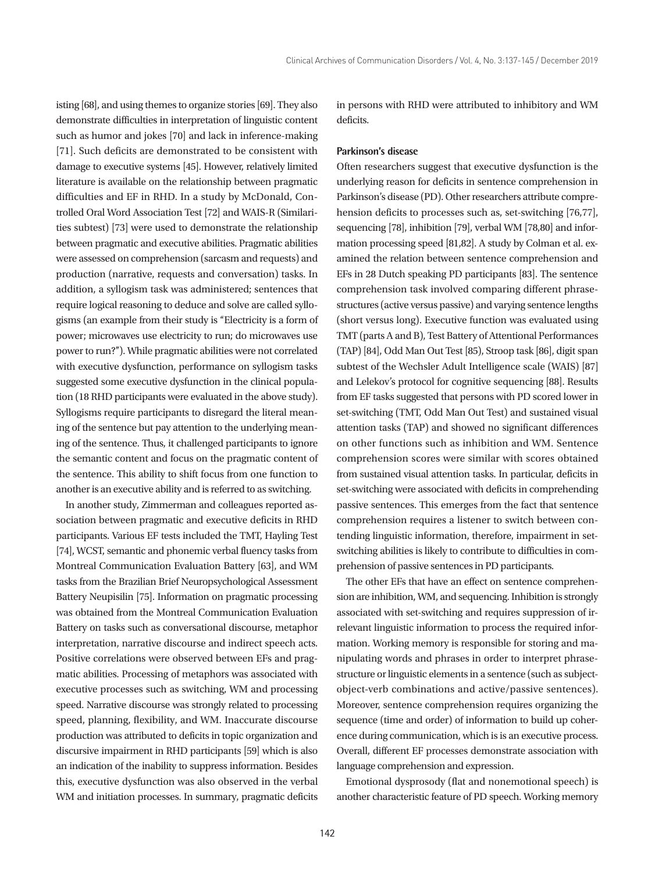isting [68], and using themes to organize stories [69]. They also demonstrate difficulties in interpretation of linguistic content such as humor and jokes [70] and lack in inference-making [71]. Such deficits are demonstrated to be consistent with damage to executive systems [45]. However, relatively limited literature is available on the relationship between pragmatic difficulties and EF in RHD. In a study by McDonald, Controlled Oral Word Association Test [72] and WAIS-R (Similarities subtest) [73] were used to demonstrate the relationship between pragmatic and executive abilities. Pragmatic abilities were assessed on comprehension (sarcasm and requests) and production (narrative, requests and conversation) tasks. In addition, a syllogism task was administered; sentences that require logical reasoning to deduce and solve are called syllogisms (an example from their study is ''Electricity is a form of power; microwaves use electricity to run; do microwaves use power to run?''). While pragmatic abilities were not correlated with executive dysfunction, performance on syllogism tasks suggested some executive dysfunction in the clinical population (18 RHD participants were evaluated in the above study). Syllogisms require participants to disregard the literal meaning of the sentence but pay attention to the underlying meaning of the sentence. Thus, it challenged participants to ignore the semantic content and focus on the pragmatic content of the sentence. This ability to shift focus from one function to another is an executive ability and is referred to as switching.

In another study, Zimmerman and colleagues reported association between pragmatic and executive deficits in RHD participants. Various EF tests included the TMT, Hayling Test [74], WCST, semantic and phonemic verbal fluency tasks from Montreal Communication Evaluation Battery [63], and WM tasks from the Brazilian Brief Neuropsychological Assessment Battery Neupisilin [75]. Information on pragmatic processing was obtained from the Montreal Communication Evaluation Battery on tasks such as conversational discourse, metaphor interpretation, narrative discourse and indirect speech acts. Positive correlations were observed between EFs and pragmatic abilities. Processing of metaphors was associated with executive processes such as switching, WM and processing speed. Narrative discourse was strongly related to processing speed, planning, flexibility, and WM. Inaccurate discourse production was attributed to deficits in topic organization and discursive impairment in RHD participants [59] which is also an indication of the inability to suppress information. Besides this, executive dysfunction was also observed in the verbal WM and initiation processes. In summary, pragmatic deficits

in persons with RHD were attributed to inhibitory and WM deficits.

#### **Parkinson's disease**

Often researchers suggest that executive dysfunction is the underlying reason for deficits in sentence comprehension in Parkinson's disease (PD). Other researchers attribute comprehension deficits to processes such as, set-switching [76,77], sequencing [78], inhibition [79], verbal WM [78,80] and information processing speed [81,82]. A study by Colman et al. examined the relation between sentence comprehension and EFs in 28 Dutch speaking PD participants [83]. The sentence comprehension task involved comparing different phrasestructures (active versus passive) and varying sentence lengths (short versus long). Executive function was evaluated using TMT (parts A and B), Test Battery of Attentional Performances (TAP) [84], Odd Man Out Test [85), Stroop task [86], digit span subtest of the Wechsler Adult Intelligence scale (WAIS) [87] and Lelekov's protocol for cognitive sequencing [88]. Results from EF tasks suggested that persons with PD scored lower in set-switching (TMT, Odd Man Out Test) and sustained visual attention tasks (TAP) and showed no significant differences on other functions such as inhibition and WM. Sentence comprehension scores were similar with scores obtained from sustained visual attention tasks. In particular, deficits in set-switching were associated with deficits in comprehending passive sentences. This emerges from the fact that sentence comprehension requires a listener to switch between contending linguistic information, therefore, impairment in setswitching abilities is likely to contribute to difficulties in comprehension of passive sentences in PD participants.

The other EFs that have an effect on sentence comprehension are inhibition, WM, and sequencing. Inhibition is strongly associated with set-switching and requires suppression of irrelevant linguistic information to process the required information. Working memory is responsible for storing and manipulating words and phrases in order to interpret phrasestructure or linguistic elements in a sentence (such as subjectobject-verb combinations and active/passive sentences). Moreover, sentence comprehension requires organizing the sequence (time and order) of information to build up coherence during communication, which is is an executive process. Overall, different EF processes demonstrate association with language comprehension and expression.

Emotional dysprosody (flat and nonemotional speech) is another characteristic feature of PD speech. Working memory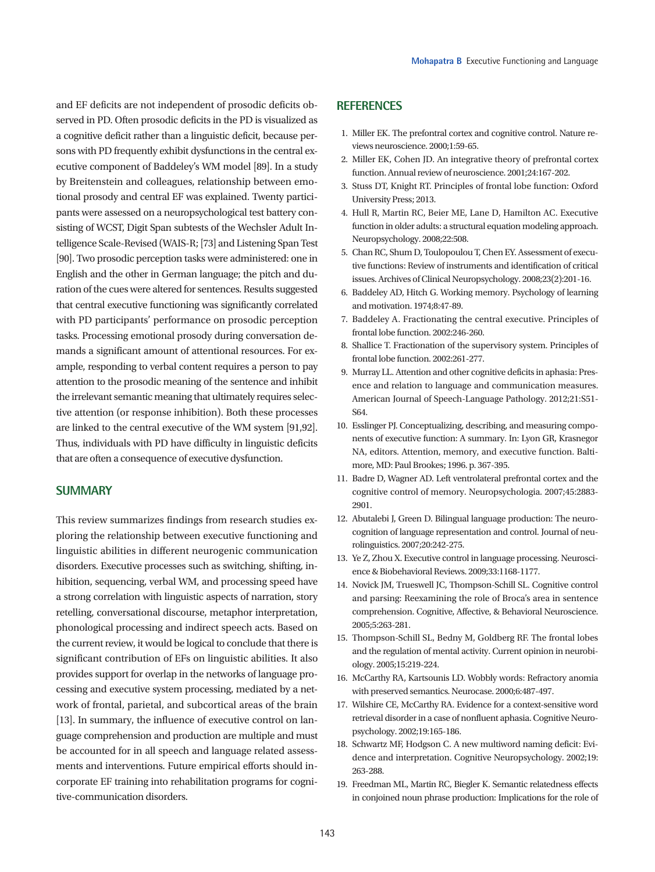and EF deficits are not independent of prosodic deficits observed in PD. Often prosodic deficits in the PD is visualized as a cognitive deficit rather than a linguistic deficit, because persons with PD frequently exhibit dysfunctions in the central executive component of Baddeley's WM model [89]. In a study by Breitenstein and colleagues, relationship between emotional prosody and central EF was explained. Twenty participants were assessed on a neuropsychological test battery consisting of WCST, Digit Span subtests of the Wechsler Adult Intelligence Scale-Revised (WAIS-R; [73] and Listening Span Test [90]. Two prosodic perception tasks were administered: one in English and the other in German language; the pitch and duration of the cues were altered for sentences. Results suggested that central executive functioning was significantly correlated with PD participants' performance on prosodic perception tasks. Processing emotional prosody during conversation demands a significant amount of attentional resources. For example, responding to verbal content requires a person to pay attention to the prosodic meaning of the sentence and inhibit the irrelevant semantic meaning that ultimately requires selective attention (or response inhibition). Both these processes are linked to the central executive of the WM system [91,92]. Thus, individuals with PD have difficulty in linguistic deficits that are often a consequence of executive dysfunction.

## **SUMMARY**

This review summarizes findings from research studies exploring the relationship between executive functioning and linguistic abilities in different neurogenic communication disorders. Executive processes such as switching, shifting, inhibition, sequencing, verbal WM, and processing speed have a strong correlation with linguistic aspects of narration, story retelling, conversational discourse, metaphor interpretation, phonological processing and indirect speech acts. Based on the current review, it would be logical to conclude that there is significant contribution of EFs on linguistic abilities. It also provides support for overlap in the networks of language processing and executive system processing, mediated by a network of frontal, parietal, and subcortical areas of the brain [13]. In summary, the influence of executive control on language comprehension and production are multiple and must be accounted for in all speech and language related assessments and interventions. Future empirical efforts should incorporate EF training into rehabilitation programs for cognitive-communication disorders.

# **REFERENCES**

- 1. Miller EK. The prefontral cortex and cognitive control. Nature reviews neuroscience. 2000;1:59-65.
- 2. Miller EK, Cohen JD. An integrative theory of prefrontal cortex function. Annual review of neuroscience. 2001;24:167-202.
- 3. Stuss DT, Knight RT. Principles of frontal lobe function: Oxford University Press; 2013.
- 4. Hull R, Martin RC, Beier ME, Lane D, Hamilton AC. Executive function in older adults: a structural equation modeling approach. Neuropsychology. 2008;22:508.
- 5. Chan RC, Shum D, Toulopoulou T, Chen EY. Assessment of executive functions: Review of instruments and identification of critical issues. Archives of Clinical Neuropsychology. 2008;23(2):201-16.
- 6. Baddeley AD, Hitch G. Working memory. Psychology of learning and motivation. 1974;8:47-89.
- 7. Baddeley A. Fractionating the central executive. Principles of frontal lobe function. 2002:246-260.
- 8. Shallice T. Fractionation of the supervisory system. Principles of frontal lobe function. 2002:261-277.
- 9. Murray LL. Attention and other cognitive deficits in aphasia: Presence and relation to language and communication measures. American Journal of Speech-Language Pathology. 2012;21:S51- S64.
- 10. Esslinger PJ. Conceptualizing, describing, and measuring components of executive function: A summary. In: Lyon GR, Krasnegor NA, editors. Attention, memory, and executive function. Baltimore, MD: Paul Brookes; 1996. p. 367-395.
- 11. Badre D, Wagner AD. Left ventrolateral prefrontal cortex and the cognitive control of memory. Neuropsychologia. 2007;45:2883- 2901.
- 12. Abutalebi J, Green D. Bilingual language production: The neurocognition of language representation and control. Journal of neurolinguistics. 2007;20:242-275.
- 13. Ye Z, Zhou X. Executive control in language processing. Neuroscience & Biobehavioral Reviews. 2009;33:1168-1177.
- 14. Novick JM, Trueswell JC, Thompson-Schill SL. Cognitive control and parsing: Reexamining the role of Broca's area in sentence comprehension. Cognitive, Affective, & Behavioral Neuroscience. 2005;5:263-281.
- 15. Thompson-Schill SL, Bedny M, Goldberg RF. The frontal lobes and the regulation of mental activity. Current opinion in neurobiology. 2005;15:219-224.
- 16. McCarthy RA, Kartsounis LD. Wobbly words: Refractory anomia with preserved semantics. Neurocase. 2000;6:487-497.
- 17. Wilshire CE, McCarthy RA. Evidence for a context-sensitive word retrieval disorder in a case of nonfluent aphasia. Cognitive Neuropsychology. 2002;19:165-186.
- 18. Schwartz MF, Hodgson C. A new multiword naming deficit: Evidence and interpretation. Cognitive Neuropsychology. 2002;19: 263-288.
- 19. Freedman ML, Martin RC, Biegler K. Semantic relatedness effects in conjoined noun phrase production: Implications for the role of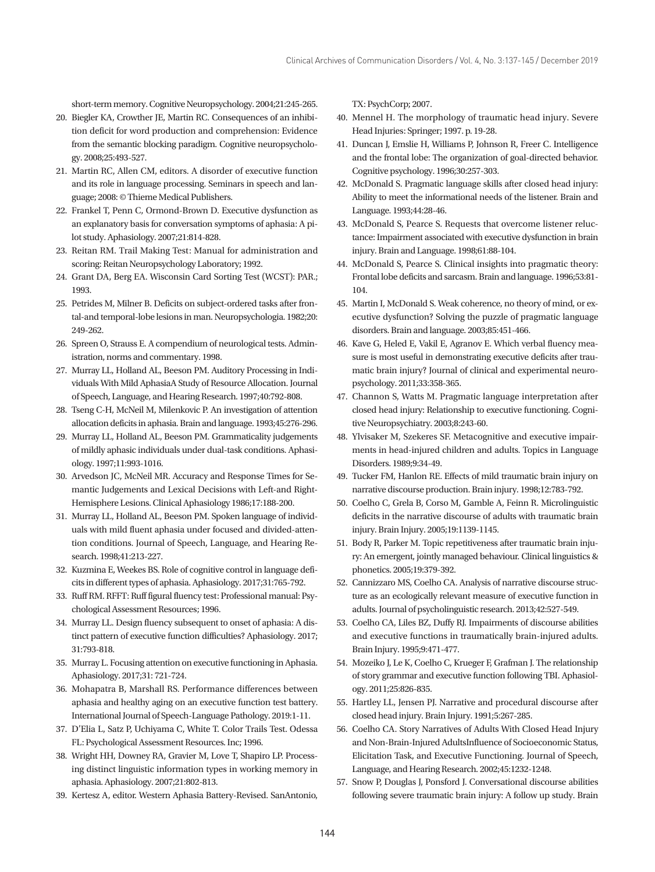short-term memory. Cognitive Neuropsychology. 2004;21:245-265.

- 20. Biegler KA, Crowther JE, Martin RC. Consequences of an inhibition deficit for word production and comprehension: Evidence from the semantic blocking paradigm. Cognitive neuropsychology. 2008;25:493-527.
- 21. Martin RC, Allen CM, editors. A disorder of executive function and its role in language processing. Seminars in speech and language; 2008: © Thieme Medical Publishers.
- 22. Frankel T, Penn C, Ormond‐Brown D. Executive dysfunction as an explanatory basis for conversation symptoms of aphasia: A pilot study. Aphasiology. 2007;21:814-828.
- 23. Reitan RM. Trail Making Test: Manual for administration and scoring: Reitan Neuropsychology Laboratory; 1992.
- 24. Grant DA, Berg EA. Wisconsin Card Sorting Test (WCST): PAR.; 1993.
- 25. Petrides M, Milner B. Deficits on subject-ordered tasks after frontal-and temporal-lobe lesions in man. Neuropsychologia. 1982;20: 249-262.
- 26. Spreen O, Strauss E. A compendium of neurological tests. Administration, norms and commentary. 1998.
- 27. Murray LL, Holland AL, Beeson PM. Auditory Processing in Individuals With Mild AphasiaA Study of Resource Allocation. Journal of Speech, Language, and Hearing Research. 1997;40:792-808.
- 28. Tseng C-H, McNeil M, Milenkovic P. An investigation of attention allocation deficits in aphasia. Brain and language. 1993;45:276-296.
- 29. Murray LL, Holland AL, Beeson PM. Grammaticality judgements of mildly aphasic individuals under dual-task conditions. Aphasiology. 1997;11:993-1016.
- 30. Arvedson JC, McNeil MR. Accuracy and Response Times for Semantic Judgements and Lexical Decisions with Left-and Right-Hemisphere Lesions. Clinical Aphasiology 1986;17:188-200.
- 31. Murray LL, Holland AL, Beeson PM. Spoken language of individuals with mild fluent aphasia under focused and divided-attention conditions. Journal of Speech, Language, and Hearing Research. 1998;41:213-227.
- 32. Kuzmina E, Weekes BS. Role of cognitive control in language deficits in different types of aphasia. Aphasiology. 2017;31:765-792.
- 33. Ruff RM. RFFT: Ruff figural fluency test: Professional manual: Psychological Assessment Resources; 1996.
- 34. Murray LL. Design fluency subsequent to onset of aphasia: A distinct pattern of executive function difficulties? Aphasiology. 2017; 31:793-818.
- 35. Murray L. Focusing attention on executive functioning in Aphasia. Aphasiology. 2017;31: 721-724.
- 36. Mohapatra B, Marshall RS. Performance differences between aphasia and healthy aging on an executive function test battery. International Journal of Speech-Language Pathology. 2019:1-11.
- 37. D'Elia L, Satz P, Uchiyama C, White T. Color Trails Test. Odessa FL: Psychological Assessment Resources. Inc; 1996.
- 38. Wright HH, Downey RA, Gravier M, Love T, Shapiro LP. Processing distinct linguistic information types in working memory in aphasia. Aphasiology. 2007;21:802-813.
- 39. Kertesz A, editor. Western Aphasia Battery-Revised. SanAntonio,

TX: PsychCorp; 2007.

- 40. Mennel H. The morphology of traumatic head injury. Severe Head Injuries: Springer; 1997. p. 19-28.
- 41. Duncan J, Emslie H, Williams P, Johnson R, Freer C. Intelligence and the frontal lobe: The organization of goal-directed behavior. Cognitive psychology. 1996;30:257-303.
- 42. McDonald S. Pragmatic language skills after closed head injury: Ability to meet the informational needs of the listener. Brain and Language. 1993;44:28-46.
- 43. McDonald S, Pearce S. Requests that overcome listener reluctance: Impairment associated with executive dysfunction in brain injury. Brain and Language. 1998;61:88-104.
- 44. McDonald S, Pearce S. Clinical insights into pragmatic theory: Frontal lobe deficits and sarcasm. Brain and language. 1996;53:81- 104.
- 45. Martin I, McDonald S. Weak coherence, no theory of mind, or executive dysfunction? Solving the puzzle of pragmatic language disorders. Brain and language. 2003;85:451-466.
- 46. Kave G, Heled E, Vakil E, Agranov E. Which verbal fluency measure is most useful in demonstrating executive deficits after traumatic brain injury? Journal of clinical and experimental neuropsychology. 2011;33:358-365.
- 47. Channon S, Watts M. Pragmatic language interpretation after closed head injury: Relationship to executive functioning. Cognitive Neuropsychiatry. 2003;8:243-60.
- 48. Ylvisaker M, Szekeres SF. Metacognitive and executive impairments in head-injured children and adults. Topics in Language Disorders. 1989;9:34-49.
- 49. Tucker FM, Hanlon RE. Effects of mild traumatic brain injury on narrative discourse production. Brain injury. 1998;12:783-792.
- 50. Coelho C, Grela B, Corso M, Gamble A, Feinn R. Microlinguistic deficits in the narrative discourse of adults with traumatic brain injury. Brain Injury. 2005;19:1139-1145.
- 51. Body R, Parker M. Topic repetitiveness after traumatic brain injury: An emergent, jointly managed behaviour. Clinical linguistics & phonetics. 2005;19:379-392.
- 52. Cannizzaro MS, Coelho CA. Analysis of narrative discourse structure as an ecologically relevant measure of executive function in adults. Journal of psycholinguistic research. 2013;42:527-549.
- 53. Coelho CA, Liles BZ, Duffy RJ. Impairments of discourse abilities and executive functions in traumatically brain-injured adults. Brain Injury. 1995;9:471-477.
- 54. Mozeiko J, Le K, Coelho C, Krueger F, Grafman J. The relationship of story grammar and executive function following TBI. Aphasiology. 2011;25:826-835.
- 55. Hartley LL, Jensen PJ. Narrative and procedural discourse after closed head injury. Brain Injury. 1991;5:267-285.
- 56. Coelho CA. Story Narratives of Adults With Closed Head Injury and Non-Brain-Injured AdultsInfluence of Socioeconomic Status, Elicitation Task, and Executive Functioning. Journal of Speech, Language, and Hearing Research. 2002;45:1232-1248.
- 57. Snow P, Douglas J, Ponsford J. Conversational discourse abilities following severe traumatic brain injury: A follow up study. Brain